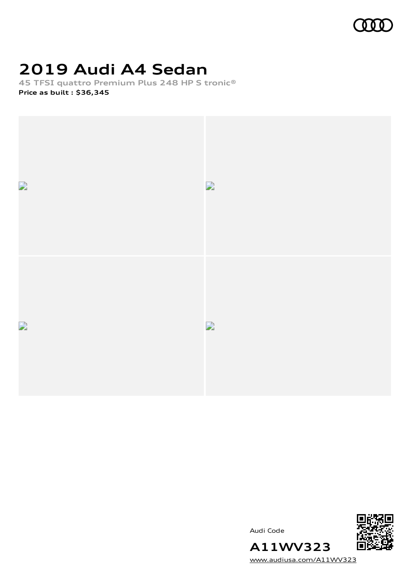

## **2019 Audi A4 Sedan**

**45 TFSI quattro Premium Plus 248 HP S tronic® Price as built [:](#page-7-0) \$36,345**



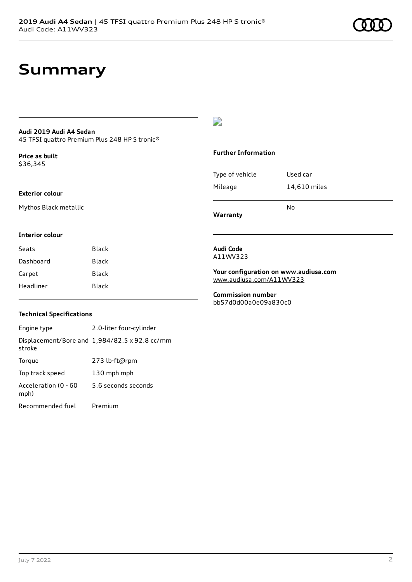## **Audi 2019 Audi A4 Sedan**

45 TFSI quattro Premium Plus 248 HP S tronic®

**Price as buil[t](#page-7-0)** \$36,345

### **Exterior colour**

Mythos Black metallic

### D

#### **Further Information**

| Mileage         | 14,610 miles |
|-----------------|--------------|
| Type of vehicle | Used car     |

**Warranty**

### **Interior colour**

| Seats     | Black |
|-----------|-------|
| Dashboard | Black |
| Carpet    | Black |
| Headliner | Black |

#### **Audi Code** A11WV323

**Your configuration on www.audiusa.com** [www.audiusa.com/A11WV323](https://www.audiusa.com/A11WV323)

**Commission number** bb57d0d00a0e09a830c0

### **Technical Specifications**

Engine type 2.0-liter four-cylinder Displacement/Bore and 1,984/82.5 x 92.8 cc/mm stroke Torque 273 lb-ft@rpm Top track speed 130 mph mph Acceleration (0 - 60 mph) 5.6 seconds seconds Recommended fuel Premium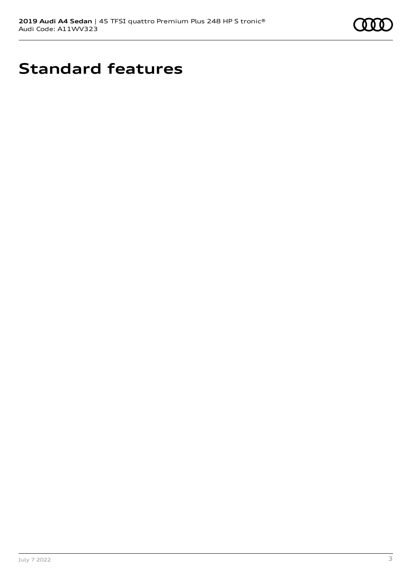

# **Standard features**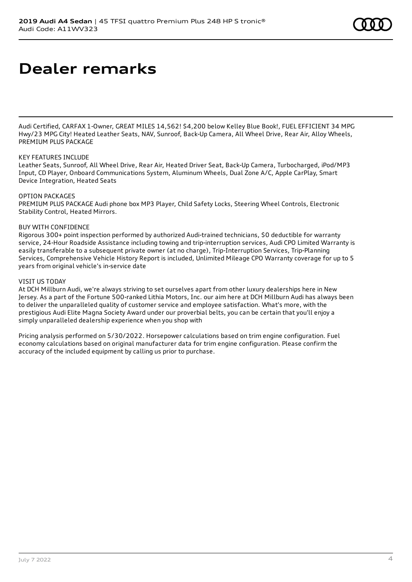# **Dealer remarks**

Audi Certified, CARFAX 1-Owner, GREAT MILES 14,562! \$4,200 below Kelley Blue Book!, FUEL EFFICIENT 34 MPG Hwy/23 MPG City! Heated Leather Seats, NAV, Sunroof, Back-Up Camera, All Wheel Drive, Rear Air, Alloy Wheels, PREMIUM PLUS PACKAGE

### KEY FEATURES INCLUDE

Leather Seats, Sunroof, All Wheel Drive, Rear Air, Heated Driver Seat, Back-Up Camera, Turbocharged, iPod/MP3 Input, CD Player, Onboard Communications System, Aluminum Wheels, Dual Zone A/C, Apple CarPlay, Smart Device Integration, Heated Seats

### OPTION PACKAGES

PREMIUM PLUS PACKAGE Audi phone box MP3 Player, Child Safety Locks, Steering Wheel Controls, Electronic Stability Control, Heated Mirrors.

### BUY WITH CONFIDENCE

Rigorous 300+ point inspection performed by authorized Audi-trained technicians, \$0 deductible for warranty service, 24-Hour Roadside Assistance including towing and trip-interruption services, Audi CPO Limited Warranty is easily transferable to a subsequent private owner (at no charge), Trip-Interruption Services, Trip-Planning Services, Comprehensive Vehicle History Report is included, Unlimited Mileage CPO Warranty coverage for up to 5 years from original vehicle's in-service date

### VISIT US TODAY

At DCH Millburn Audi, we're always striving to set ourselves apart from other luxury dealerships here in New Jersey. As a part of the Fortune 500-ranked Lithia Motors, Inc. our aim here at DCH Millburn Audi has always been to deliver the unparalleled quality of customer service and employee satisfaction. What's more, with the prestigious Audi Elite Magna Society Award under our proverbial belts, you can be certain that you'll enjoy a simply unparalleled dealership experience when you shop with

Pricing analysis performed on 5/30/2022. Horsepower calculations based on trim engine configuration. Fuel economy calculations based on original manufacturer data for trim engine configuration. Please confirm the accuracy of the included equipment by calling us prior to purchase.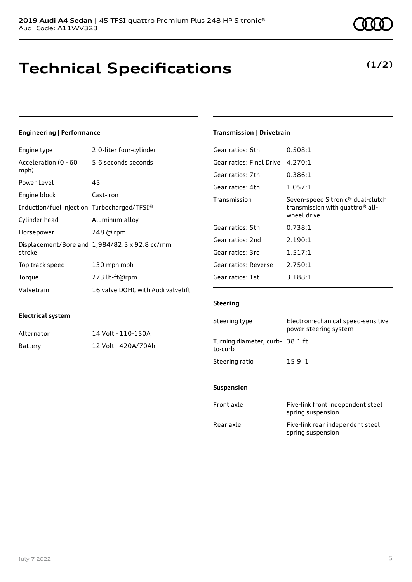## **Technical Specifications**

### **Engineering | Performance**

| Engine type                                 | 2.0-liter four-cylinder                       |
|---------------------------------------------|-----------------------------------------------|
| Acceleration (0 - 60<br>mph)                | 5.6 seconds seconds                           |
| Power Level                                 | 45                                            |
| Engine block                                | Cast-iron                                     |
| Induction/fuel injection Turbocharged/TFSI® |                                               |
| Cylinder head                               | Aluminum-alloy                                |
| Horsepower                                  | 248 @ rpm                                     |
| stroke                                      | Displacement/Bore and 1,984/82.5 x 92.8 cc/mm |
| Top track speed                             | 130 mph mph                                   |
| Torque                                      | 273 lb-ft@rpm                                 |
| Valvetrain                                  | 16 valve DOHC with Audi valvelift             |

### **Transmission | Drivetrain**

| Gear ratios: 6th         | 0.508:1                                                                                                     |
|--------------------------|-------------------------------------------------------------------------------------------------------------|
| Gear ratios: Final Drive | 4.270:1                                                                                                     |
| Gear ratios: 7th         | 0.386:1                                                                                                     |
| Gear ratios: 4th         | 1.057:1                                                                                                     |
| Transmission             | Seven-speed S tronic <sup>®</sup> dual-clutch<br>transmission with quattro <sup>®</sup> all-<br>wheel drive |
| Gear ratios: 5th         | 0.738:1                                                                                                     |
| Gear ratios: 2nd         | 2.190:1                                                                                                     |
| Gear ratios: 3rd         | 1.517:1                                                                                                     |
| Gear ratios: Reverse     | 2.750:1                                                                                                     |
| Gear ratios: 1st         | 3.188:1                                                                                                     |

### **Electrical system**

| Alternator | 14 Volt - 110-150A  |
|------------|---------------------|
| Battery    | 12 Volt - 420A/70Ah |

### **Steering**

| Steering type                             | Electromechanical speed-sensitive<br>power steering system |
|-------------------------------------------|------------------------------------------------------------|
| Turning diameter, curb-38.1 ft<br>to-curb |                                                            |
| Steering ratio                            | 15.9:1                                                     |

#### **Suspension**

| Front axle | Five-link front independent steel<br>spring suspension |
|------------|--------------------------------------------------------|
| Rear axle  | Five-link rear independent steel<br>spring suspension  |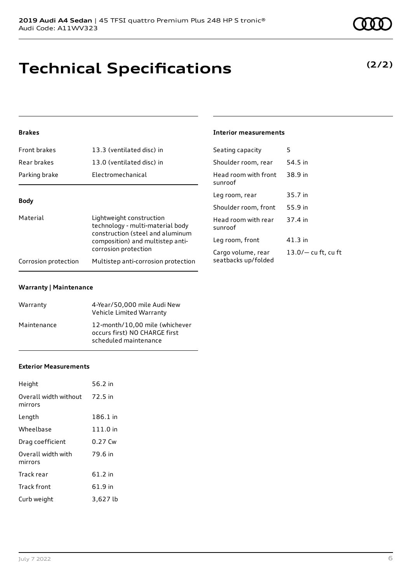## **Technical Specifications**

### **Brakes**

| Front brakes                                                                                                                                     | 13.3 (ventilated disc) in           | Seating capacity                | 5                     |
|--------------------------------------------------------------------------------------------------------------------------------------------------|-------------------------------------|---------------------------------|-----------------------|
| Rear brakes                                                                                                                                      | 13.0 (ventilated disc) in           | Shoulder room, rear             | 54.5 in               |
| Parking brake                                                                                                                                    | Electromechanical                   | Head room with front<br>sunroof | 38.9 in               |
|                                                                                                                                                  |                                     | Leg room, rear                  | 35.7 in               |
| <b>Body</b>                                                                                                                                      |                                     | Shoulder room, front            | 55.9 in               |
| Material<br>Lightweight construction<br>technology - multi-material body<br>construction (steel and aluminum<br>composition) and multistep anti- | Head room with rear<br>sunroof      | 37.4 in                         |                       |
|                                                                                                                                                  |                                     | Leg room, front                 | $41.3$ in             |
| corrosion protection                                                                                                                             |                                     | Cargo volume, rear              | $13.0/-$ cu ft, cu ft |
| Corrosion protection                                                                                                                             | Multistep anti-corrosion protection | seatbacks up/folded             |                       |

**Interior measurements**

### **Warranty | Maintenance**

| Warranty    | 4-Year/50,000 mile Audi New<br>Vehicle Limited Warranty                                  |
|-------------|------------------------------------------------------------------------------------------|
| Maintenance | 12-month/10.00 mile (whichever<br>occurs first) NO CHARGE first<br>scheduled maintenance |

#### **Exterior Measurements**

| Height                           | 56.2 in  |
|----------------------------------|----------|
| Overall width without<br>mirrors | 72.5 in  |
| Length                           | 186.1 in |
| Wheelbase                        | 111.0 in |
| Drag coefficient                 | 0.27 Cw  |
| Overall width with<br>mirrors    | 79.6 in  |
| Track rear                       | 61.2 in  |
| Track front                      | 61.9 in  |
| Curb weight                      | 3,627 lb |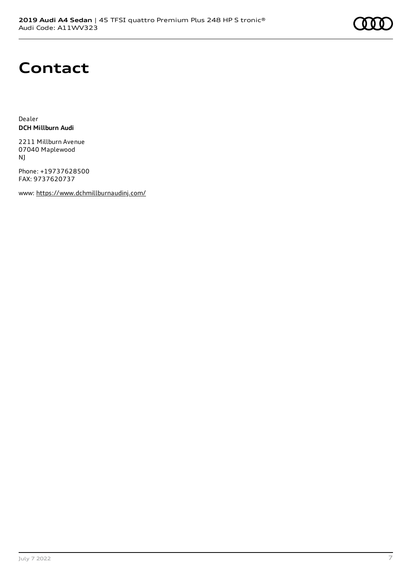# **Contact**

Dealer **DCH Millburn Audi**

2211 Millburn Avenue 07040 Maplewood NJ

Phone: +19737628500 FAX: 9737620737

www: <https://www.dchmillburnaudinj.com/>